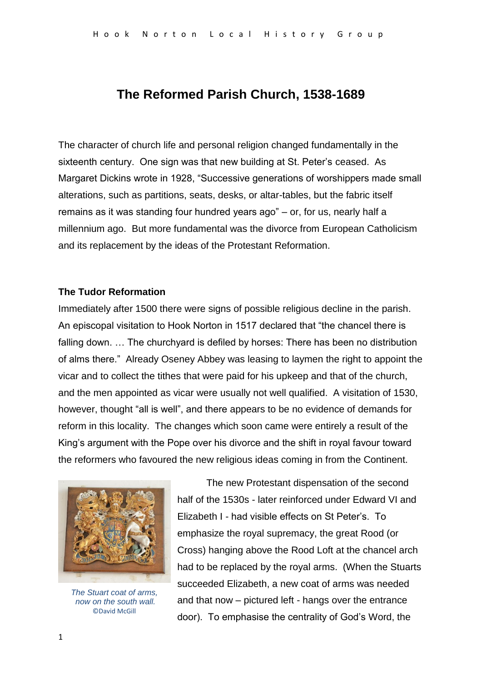# **The Reformed Parish Church, 1538-1689**

The character of church life and personal religion changed fundamentally in the sixteenth century. One sign was that new building at St. Peter's ceased. As Margaret Dickins wrote in 1928, "Successive generations of worshippers made small alterations, such as partitions, seats, desks, or altar-tables, but the fabric itself remains as it was standing four hundred years ago" – or, for us, nearly half a millennium ago. But more fundamental was the divorce from European Catholicism and its replacement by the ideas of the Protestant Reformation.

#### **The Tudor Reformation**

Immediately after 1500 there were signs of possible religious decline in the parish. An episcopal visitation to Hook Norton in 1517 declared that "the chancel there is falling down. … The churchyard is defiled by horses: There has been no distribution of alms there." Already Oseney Abbey was leasing to laymen the right to appoint the vicar and to collect the tithes that were paid for his upkeep and that of the church, and the men appointed as vicar were usually not well qualified. A visitation of 1530, however, thought "all is well", and there appears to be no evidence of demands for reform in this locality. The changes which soon came were entirely a result of the King's argument with the Pope over his divorce and the shift in royal favour toward the reformers who favoured the new religious ideas coming in from the Continent.



*The Stuart coat of arms, now on the south wall.* ©David McGill

The new Protestant dispensation of the second half of the 1530s - later reinforced under Edward VI and Elizabeth I - had visible effects on St Peter's. To emphasize the royal supremacy, the great Rood (or Cross) hanging above the Rood Loft at the chancel arch had to be replaced by the royal arms. (When the Stuarts succeeded Elizabeth, a new coat of arms was needed and that now – pictured left - hangs over the entrance door). To emphasise the centrality of God's Word, the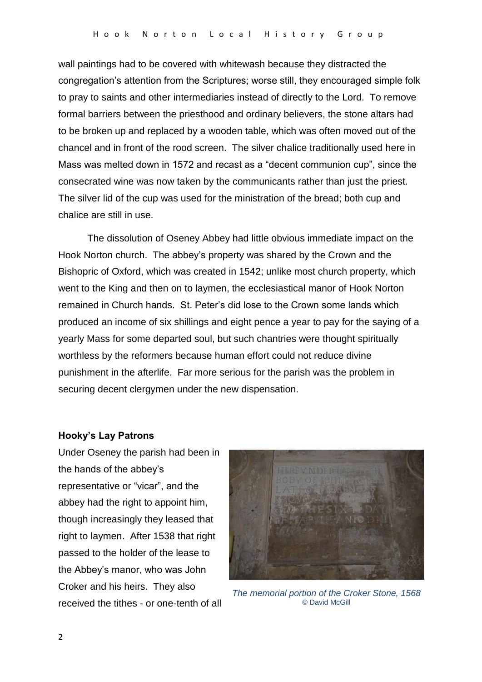wall paintings had to be covered with whitewash because they distracted the congregation's attention from the Scriptures; worse still, they encouraged simple folk to pray to saints and other intermediaries instead of directly to the Lord. To remove formal barriers between the priesthood and ordinary believers, the stone altars had to be broken up and replaced by a wooden table, which was often moved out of the chancel and in front of the rood screen. The silver chalice traditionally used here in Mass was melted down in 1572 and recast as a "decent communion cup", since the consecrated wine was now taken by the communicants rather than just the priest. The silver lid of the cup was used for the ministration of the bread; both cup and chalice are still in use.

The dissolution of Oseney Abbey had little obvious immediate impact on the Hook Norton church. The abbey's property was shared by the Crown and the Bishopric of Oxford, which was created in 1542; unlike most church property, which went to the King and then on to laymen, the ecclesiastical manor of Hook Norton remained in Church hands. St. Peter's did lose to the Crown some lands which produced an income of six shillings and eight pence a year to pay for the saying of a yearly Mass for some departed soul, but such chantries were thought spiritually worthless by the reformers because human effort could not reduce divine punishment in the afterlife. Far more serious for the parish was the problem in securing decent clergymen under the new dispensation.

#### **Hooky's Lay Patrons**

Under Oseney the parish had been in the hands of the abbey's representative or "vicar", and the abbey had the right to appoint him, though increasingly they leased that right to laymen. After 1538 that right passed to the holder of the lease to the Abbey's manor, who was John Croker and his heirs. They also received the tithes - or one-tenth of all



*The memorial portion of the Croker Stone, 1568* © David McGill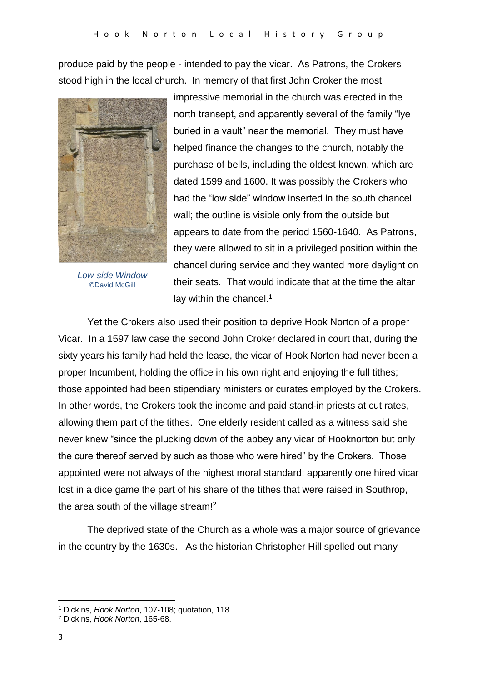produce paid by the people - intended to pay the vicar. As Patrons, the Crokers stood high in the local church. In memory of that first John Croker the most



*Low-side Window* ©David McGill

impressive memorial in the church was erected in the north transept, and apparently several of the family "lye buried in a vault" near the memorial. They must have helped finance the changes to the church, notably the purchase of bells, including the oldest known, which are dated 1599 and 1600. It was possibly the Crokers who had the "low side" window inserted in the south chancel wall; the outline is visible only from the outside but appears to date from the period 1560-1640. As Patrons, they were allowed to sit in a privileged position within the chancel during service and they wanted more daylight on their seats. That would indicate that at the time the altar lay within the chancel.<sup>1</sup>

Yet the Crokers also used their position to deprive Hook Norton of a proper Vicar. In a 1597 law case the second John Croker declared in court that, during the sixty years his family had held the lease, the vicar of Hook Norton had never been a proper Incumbent, holding the office in his own right and enjoying the full tithes; those appointed had been stipendiary ministers or curates employed by the Crokers. In other words, the Crokers took the income and paid stand-in priests at cut rates, allowing them part of the tithes. One elderly resident called as a witness said she never knew "since the plucking down of the abbey any vicar of Hooknorton but only the cure thereof served by such as those who were hired" by the Crokers. Those appointed were not always of the highest moral standard; apparently one hired vicar lost in a dice game the part of his share of the tithes that were raised in Southrop, the area south of the village stream!<sup>2</sup>

The deprived state of the Church as a whole was a major source of grievance in the country by the 1630s. As the historian Christopher Hill spelled out many

**.** 

<sup>1</sup> Dickins, *Hook Norton*, 107-108; quotation, 118.

<sup>2</sup> Dickins, *Hook Norton*, 165-68.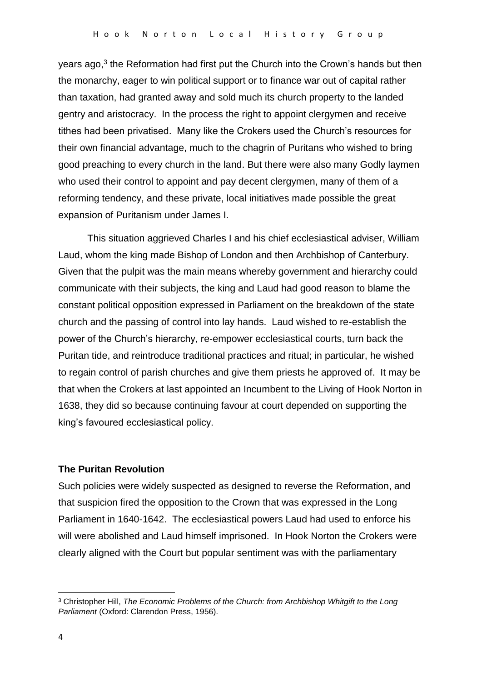years ago,<sup>3</sup> the Reformation had first put the Church into the Crown's hands but then the monarchy, eager to win political support or to finance war out of capital rather than taxation, had granted away and sold much its church property to the landed gentry and aristocracy. In the process the right to appoint clergymen and receive tithes had been privatised. Many like the Crokers used the Church's resources for their own financial advantage, much to the chagrin of Puritans who wished to bring good preaching to every church in the land. But there were also many Godly laymen who used their control to appoint and pay decent clergymen, many of them of a reforming tendency, and these private, local initiatives made possible the great expansion of Puritanism under James I.

This situation aggrieved Charles I and his chief ecclesiastical adviser, William Laud, whom the king made Bishop of London and then Archbishop of Canterbury. Given that the pulpit was the main means whereby government and hierarchy could communicate with their subjects, the king and Laud had good reason to blame the constant political opposition expressed in Parliament on the breakdown of the state church and the passing of control into lay hands. Laud wished to re-establish the power of the Church's hierarchy, re-empower ecclesiastical courts, turn back the Puritan tide, and reintroduce traditional practices and ritual; in particular, he wished to regain control of parish churches and give them priests he approved of. It may be that when the Crokers at last appointed an Incumbent to the Living of Hook Norton in 1638, they did so because continuing favour at court depended on supporting the king's favoured ecclesiastical policy.

#### **The Puritan Revolution**

Such policies were widely suspected as designed to reverse the Reformation, and that suspicion fired the opposition to the Crown that was expressed in the Long Parliament in 1640-1642. The ecclesiastical powers Laud had used to enforce his will were abolished and Laud himself imprisoned. In Hook Norton the Crokers were clearly aligned with the Court but popular sentiment was with the parliamentary

**.** 

<sup>3</sup> Christopher Hill, *The Economic Problems of the Church: from Archbishop Whitgift to the Long Parliament* (Oxford: Clarendon Press, 1956).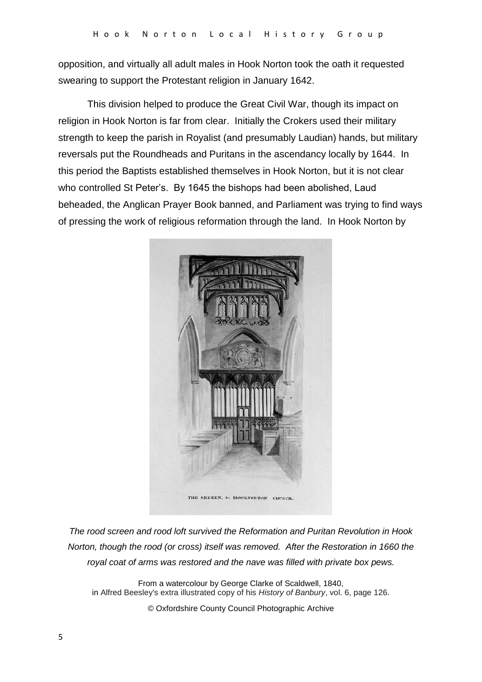opposition, and virtually all adult males in Hook Norton took the oath it requested swearing to support the Protestant religion in January 1642.

This division helped to produce the Great Civil War, though its impact on religion in Hook Norton is far from clear. Initially the Crokers used their military strength to keep the parish in Royalist (and presumably Laudian) hands, but military reversals put the Roundheads and Puritans in the ascendancy locally by 1644. In this period the Baptists established themselves in Hook Norton, but it is not clear who controlled St Peter's. By 1645 the bishops had been abolished, Laud beheaded, the Anglican Prayer Book banned, and Parliament was trying to find ways of pressing the work of religious reformation through the land. In Hook Norton by



*The rood screen and rood loft survived the Reformation and Puritan Revolution in Hook Norton, though the rood (or cross) itself was removed. After the Restoration in 1660 the royal coat of arms was restored and the nave was filled with private box pews.*

From a watercolour by George Clarke of Scaldwell, 1840, in Alfred Beesley's extra illustrated copy of his *History of Banbury*, vol. 6, page 126.

© Oxfordshire County Council Photographic Archive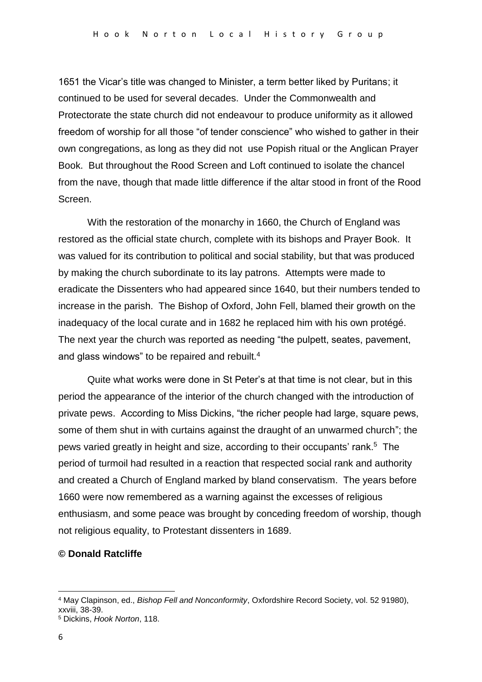1651 the Vicar's title was changed to Minister, a term better liked by Puritans; it continued to be used for several decades. Under the Commonwealth and Protectorate the state church did not endeavour to produce uniformity as it allowed freedom of worship for all those "of tender conscience" who wished to gather in their own congregations, as long as they did not use Popish ritual or the Anglican Prayer Book. But throughout the Rood Screen and Loft continued to isolate the chancel from the nave, though that made little difference if the altar stood in front of the Rood Screen.

With the restoration of the monarchy in 1660, the Church of England was restored as the official state church, complete with its bishops and Prayer Book. It was valued for its contribution to political and social stability, but that was produced by making the church subordinate to its lay patrons. Attempts were made to eradicate the Dissenters who had appeared since 1640, but their numbers tended to increase in the parish. The Bishop of Oxford, John Fell, blamed their growth on the inadequacy of the local curate and in 1682 he replaced him with his own protégé. The next year the church was reported as needing "the pulpett, seates, pavement, and glass windows" to be repaired and rebuilt.<sup>4</sup>

Quite what works were done in St Peter's at that time is not clear, but in this period the appearance of the interior of the church changed with the introduction of private pews. According to Miss Dickins, "the richer people had large, square pews, some of them shut in with curtains against the draught of an unwarmed church"; the pews varied greatly in height and size, according to their occupants' rank.<sup>5</sup> The period of turmoil had resulted in a reaction that respected social rank and authority and created a Church of England marked by bland conservatism. The years before 1660 were now remembered as a warning against the excesses of religious enthusiasm, and some peace was brought by conceding freedom of worship, though not religious equality, to Protestant dissenters in 1689.

### **© Donald Ratcliffe**

1

<sup>4</sup> May Clapinson, ed., *Bishop Fell and Nonconformity*, Oxfordshire Record Society, vol. 52 91980), xxviii, 38-39.

<sup>5</sup> Dickins, *Hook Norton*, 118.